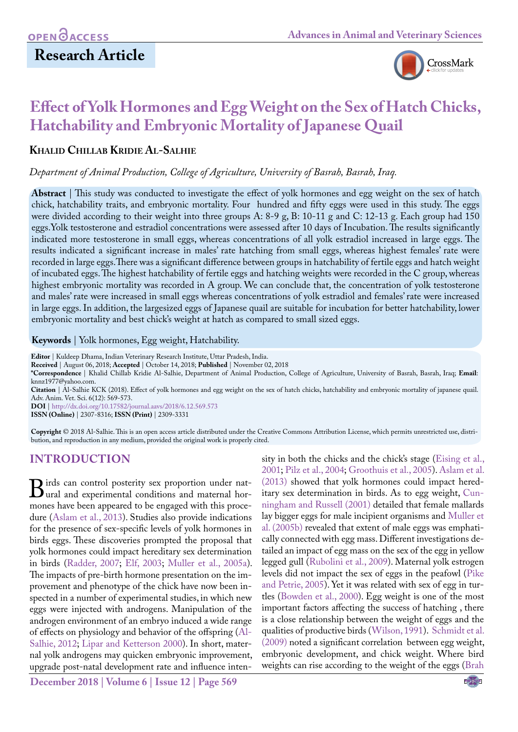# **Research Article**



# **Effect of Yolk Hormones and Egg Weight on the Sex of Hatch Chicks, Hatchability and Embryonic Mortality of Japanese Quail**

#### **Khalid Chillab Kridie Al-Salhie**

*Department of Animal Production, College of Agriculture, University of Basrah, Basrah, Iraq.*

**Abstract** | This study was conducted to investigate the effect of yolk hormones and egg weight on the sex of hatch chick, hatchability traits, and [embryonic mortality.](http://www.sciencedirect.com/science/article/pii/004896978690104X) Four hundred and fifty eggs were used in this study. The eggs were divided according to their weight into three groups A: 8-9 g, B: 10-11 g and C: 12-13 g. Each group had 150 eggs.Yolk testosterone and estradiol concentrations were assessed after 10 days of Incubation. The results significantly indicated more testosterone in small eggs, whereas concentrations of all yolk estradiol increased in large eggs. The results indicated a significant increase in males' rate hatching from small eggs, whereas highest females' rate were recorded in large eggs.There was a significant difference between groups in hatchability of fertile eggs and hatch weight of incubated eggs. The highest hatchability of fertile eggs and hatching weights were recorded in the C group, whereas highest embryonic mortality was recorded in A group. We can conclude that, the concentration of yolk testosterone and males' rate were increased in small eggs whereas concentrations of yolk estradiol and females' rate were increased in large eggs. In addition, the largesized eggs of Japanese quail are suitable for incubation for better hatchability, lower embryonic mortality and best chick's weight at hatch as compared to small sized eggs.

**Keywords** | Yolk hormones, Egg weight, Hatchability.

**Editor** | Kuldeep Dhama, Indian Veterinary Research Institute, Uttar Pradesh, India.

**Received** | August 06, 2018; **Accepted** | October 14, 2018; **Published** | November 02, 2018

**\*Correspondence** | Khalid Chillab Kridie Al-Salhie, Department of Animal Production, College of Agriculture, University of Basrah, Basrah, Iraq; **Email**: knnz1977@yahoo.com.

**Citation** | Al-Salhie KCK (2018). Effect of yolk hormones and egg weight on the sex of hatch chicks, hatchability and embryonic mortality of japanese quail. Adv. Anim. Vet. Sci. 6(12): 569-573.

**DOI** | [http://dx.doi.org/10.17582/journal.aavs/2018/6.12](http://dx.doi.org/10.17582/journal.aavs/2018/6.12.569.573).569.573

**ISSN (Online)** | 2307-8316; **ISSN (Print)** | 2309-3331

**Copyright** © 2018 Al-Salhie. This is an open access article distributed under the Creative Commons Attribution License, which permits unrestricted use, distribution, and reproduction in any medium, provided the original work is properly cited.

## **INTRODUCTION**

**B**irds can control posterity sex proportion under nat-<br>ural and experimental conditions and maternal hor-<br>mones have been anneared to be engaged with this procemones have been appeared to be engaged with this procedure [\(Aslam et al., 2013\)](#page-3-0). Studies also provide indications for the presence of sex-specific levels of yolk hormones in birds eggs. These discoveries prompted the proposal that yolk hormones could impact hereditary sex determination in birds [\(Radder, 2007](#page-3-1); [Elf, 2003](#page-3-2); [Muller et al., 2005a\)](#page-3-3). The impacts of pre-birth hormone presentation on the improvement and phenotype of the chick have now been inspected in a number of experimental studies, in which new eggs were injected with androgens. Manipulation of the androgen environment of an embryo induced a wide range of effects on physiology and behavior of the offspring [\(Al-](#page-3-4)[Salhie, 2012](#page-3-4); [Lipar and Ketterson 2000\)](#page-3-5). In short, maternal yolk androgens may quicken embryonic improvement, upgrade post-natal development rate and influence inten-

**December 2018 | Volume 6 | Issue 12 | Page 569**

sity in both the chicks and the chick's stage ([Eising et al.,](#page-3-6) [2001;](#page-3-6) [Pilz et al., 2004;](#page-3-7) [Groothuis et al., 2005\)](#page-3-8)[. Aslam et al.](#page-3-0) [\(2013\)](#page-3-0) showed that yolk hormones could impact hereditary sex determination in birds. As to egg weight[, Cun](#page-3-9)[ningham and Russell \(2001\) d](#page-3-9)etailed that female mallards lay bigger eggs for male incipient organisms and [Muller et](#page-3-10) [al. \(2005b\) r](#page-3-10)evealed that extent of male eggs was emphatically connected with egg mass. Different investigations detailed an impact of egg mass on the sex of the egg in yellow legged gull [\(Rubolini et al., 2009\)](#page-4-0). Maternal yolk estrogen levels did not impact the sex of eggs in the peafowl [\(Pike](#page-3-11) [and Petrie, 2005\)](#page-3-11). Yet it was related with sex of egg in turtles ([Bowden et al., 2000\)](#page-3-12). Egg weight is one of the most important factors affecting the success of hatching , there is a close relationship between the weight of eggs and the qualities of productive birds ([Wilson, 1991](#page-4-1)). [Schmidt et al.](#page-4-2) [\(2009\)](#page-4-2) noted a significant correlation between egg weight, embryonic development, and chick weight. Where bird weights can rise according to the weight of the eggs ([Brah](#page-3-13)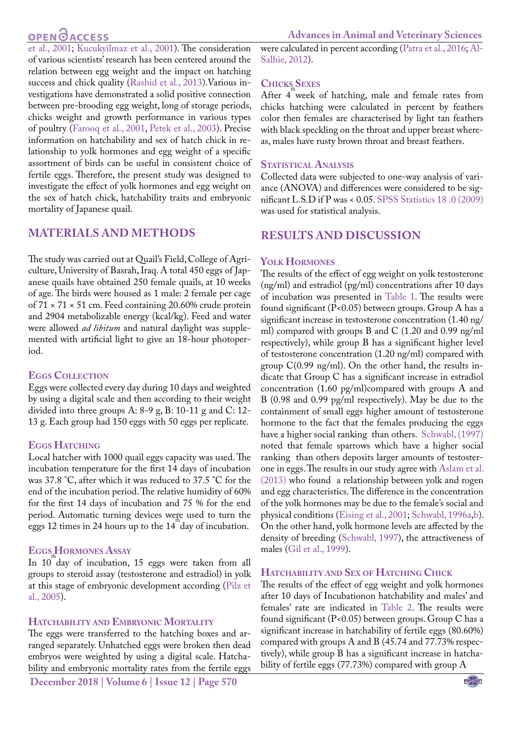# **OPEN**<sub>d</sub>

**Advances in Animal and Veterinary Sciences**

[et al., 2001](#page-3-13); [Kucukyilmaz et al., 2001\)](#page-3-14). The consideration of various scientists' research has been centered around the relation between egg weight and the impact on hatching success and chick quality [\(Rashid et al., 2013](#page-3-15)).Various investigations have demonstrated a solid positive connection between pre-brooding egg weight, long of storage periods, chicks weight and growth performance in various types of poultry [\(Farooq et al., 2001,](#page-3-16) [Petek et al., 2003\)](#page-3-17). Precise information on hatchability and sex of hatch chick in relationship to yolk hormones and egg weight of a specific assortment of birds can be useful in consistent choice of fertile eggs. Therefore, the present study was designed to investigate the effect of yolk hormones and egg weight on the sex of hatch chick, hatchability traits and [embryonic](http://www.sciencedirect.com/science/article/pii/004896978690104X) [mortality](http://www.sciencedirect.com/science/article/pii/004896978690104X) of Japanese quail.

# **MATERIALS AND METHODS**

The study was carried out at Quail's Field, College of Agriculture, University of Basrah, Iraq. A total 450 eggs of Japanese quails have obtained 250 female quails, at 10 weeks of age. The birds were housed as 1 male: 2 female per cage of  $71 \times 71 \times 51$  cm. Feed containing 20.60% crude protein and 2904 metabolizable energy (kcal/kg). Feed and water were allowed *ad libitum* and natural daylight was supplemented with artificial light to give an 18-hour photoperiod.

### **Eggs Collection**

Eggs were collected every day during 10 days and weighted by using a digital scale and then according to their weight divided into three groups A: 8-9 g, B: 10-11 g and C: 12- 13 g. Each group had 150 eggs with 50 eggs per replicate.

### **Eggs Hatching**

Local hatcher with 1000 quail eggs capacity was used. The incubation temperature for the first 14 days of incubation was 37.8 °C, after which it was reduced to 37.5 °C for the end of the incubation period. The relative humidity of 60% for the first 14 days of incubation and 75 % for the end period. Automatic turning devices were used to turn the eggs 12 times in 24 hours up to the  $14^{\text{th}}$ day of incubation.

### **Eggs Hormones Assay**

In 10<sup>th</sup>day of incubation, 15 eggs were taken from all groups to steroid assay (testosterone and estradiol) in yolk at this stage of embryonic development according ([Pilz et](#page-3-11) [al., 2005\)](#page-3-11).

### **Hatchability and Embryonic Mortality**

The eggs were transferred to the hatching boxes and arranged separately. Unhatched eggs were broken then dead embryos were weighted by using a digital scale. Hatchability and embryonic mortality rates from the fertile eggs

were calculated in percent according [\(Patra et al., 2016;](#page-3-18) [Al-](#page-3-4)[Salhie, 2012\)](#page-3-4).

### **Chicks Sexes**

After 4<sup>th</sup> week of hatching, male and female rates from chicks hatching were calculated in percent by feathers color then females are characterised by light tan feathers with black speckling on the throat and upper breast whereas, males have rusty brown throat and breast feathers.

### **STATISTICAL ANALYSIS**

Collected data were subjected to one-way analysis of variance (ANOVA) and differences were considered to be significant L.S.D if P was < 0.05. [SPSS Statistics 18 .0 \(2009\)](#page-4-3) was used for statistical analysis.

# **RESULTS AND DISCUSSION**

### **Yolk Hormones**

The results of the effect of egg weight on yolk testosterone (ng/ml) and estradiol (pg/ml) concentrations after 10 days of incubation was presented in [Table 1.](#page-2-0) The results were found significant (P<0.05) between groups. Group A has a significant increase in testosterone concentration (1.40 ng/ ml) compared with groups B and C (1.20 and 0.99 ng/ml respectively), while group B has a significant higher level of testosterone concentration (1.20 ng/ml) compared with group C(0.99 ng/ml). On the other hand, the results indicate that Group C has a significant increase in estradiol concentration (1.60 pg/ml)compared with groups A and B (0.98 and 0.99 pg/ml respectively). May be due to the containment of small eggs higher amount of testosterone hormone to the fact that the females producing the eggs have a higher social ranking than others. [Schwabl, \(1997\)](#page-4-4)  noted that female sparrows which have a higher social ranking than others deposits larger amounts of testosterone in eggs. The results in our study agree with [Aslam et al.](#page-3-0)  [\(2013\)](#page-3-0) who found a relationship between yolk and rogen and egg characteristics. The difference in the concentration of the yolk hormones may be due to the female's social and physical conditions ([Eising et al., 2001](#page-3-6)[; Schwabl, 1996a,](#page-4-5)[b](#page-4-6)). On the other hand, yolk hormone levels are affected by the density of breeding ([Schwabl, 1997\)](#page-4-4), the attractiveness of males [\(Gil et al., 1999\)](#page-3-19).

### **Hatchability and Sex of Hatching Chick**

The results of the effect of egg weight and yolk hormones after 10 days of Incubationon hatchability and males' and females' rate are indicated in [Table 2.](#page-2-1) The results were found significant (P<0.05) between groups. Group C has a significant increase in hatchability of fertile eggs (80.60%) compared with groups A and B (45.74 and 77.73% respectively), while group B has a significant increase in hatchability of fertile eggs (77.73%) compared with group A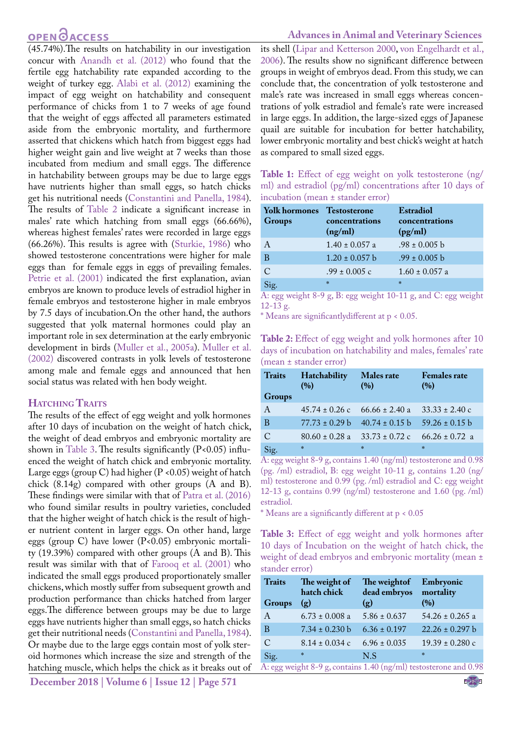## **OPEN**OACCESS

<span id="page-2-0"></span>(45.74%).The results on hatchability in our investigation concur with [Anandh et al. \(2012\)](#page-3-20) who found that the fertile egg hatchability rate expanded according to the weight of turkey egg. [Alabi et al. \(2012\)](#page-3-21) examining the impact of egg weight on hatchability and consequent performance of chicks from 1 to 7 weeks of age found that the weight of eggs affected all parameters estimated aside from the embryonic mortality, and furthermore asserted that chickens which hatch from biggest eggs had higher weight gain and live weight at 7 weeks than those incubated from medium and small eggs. The difference in hatchability between groups may be due to large eggs have nutrients higher than small eggs, so hatch chicks get his nutritional needs ([Constantini and Panella, 1984\)](#page-3-22). The results of [Table 2](#page-2-1) indicate a significant increase in males' rate which hatching from small eggs (66.66%), whereas highest females' rates were recorded in large eggs (66.26%). This results is agree with ([Sturkie, 1986](#page-4-7)) who showed testosterone concentrations were higher for male eggs than for female eggs in eggs of prevailing females. [Petrie et al. \(2001\)](#page-3-23) indicated the first explanation, avian embryos are known to produce levels of estradiol higher in female embryos and testosterone higher in male embryos by 7.5 days of incubation.On the other hand, the authors suggested that yolk maternal hormones could play an important role in sex determination at the early embryonic development in birds [\(Muller et al., 2005a](#page-3-3)). [Muller et al.](#page-3-24) [\(2002\) d](#page-3-24)iscovered contrasts in yolk levels of testosterone among male and female eggs and announced that hen social status was related with hen body weight.

#### **HATCHING TRAITS**

The results of the effect of egg weight and yolk hormones after 10 days of incubation on the weight of hatch chick, the weight of dead embryos and embryonic mortality are shown in [Table 3.](#page-2-2) The results significantly  $(P<0.05)$  influenced the weight of hatch chick and embryonic mortality. Large eggs (group C) had higher  $(P \le 0.05)$  weight of hatch chick (8.14g) compared with other groups (A and B). These findings were similar with that of [Patra et al. \(2016\)](#page-3-18) who found similar results in poultry varieties, concluded that the higher weight of hatch chick is the result of higher nutrient content in larger eggs. On other hand, large eggs (group C) have lower (P<0.05) embryonic mortality (19.39%) compared with other groups (A and B). This result was similar with that of [Farooq et al. \(2001\)](#page-3-16) who indicated the small eggs produced proportionately smaller chickens, which mostly suffer from subsequent growth and production performance than chicks hatched from larger eggs.The difference between groups may be due to large eggs have nutrients higher than small eggs, so hatch chicks get their nutritional needs ([Constantini and Panella, 1984\)](#page-3-22). Or maybe due to the large eggs contain most of yolk steroid hormones which increase the size and strength of the hatching muscle, which helps the chick as it breaks out of

**December 2018 | Volume 6 | Issue 12 | Page 571**

#### **Advances in Animal and Veterinary Sciences**

its shell ([Lipar and Ketterson 2000,](#page-3-5) [von Engelhardt et al.,](#page-4-8)  [2006\)](#page-4-8). The results show no significant difference between groups in weight of embryos dead. From this study, we can conclude that, the concentration of yolk testosterone and male's rate was increased in small eggs whereas concentrations of yolk estradiol and female's rate were increased in large eggs. In addition, the large-sized eggs of Japanese quail are suitable for incubation for better hatchability, lower embryonic mortality and best chick's weight at hatch as compared to small sized eggs.

| Table 1: Effect of egg weight on yolk testosterone (ng/   |
|-----------------------------------------------------------|
| ml) and estradiol (pg/ml) concentrations after 10 days of |
| incubation (mean $\pm$ stander error)                     |

| <b>Yolk hormones</b><br>Groups | <b>Testosterone</b><br>concentrations<br>(ng/ml) | Estradiol<br>concentrations<br>(pg/ml) |
|--------------------------------|--------------------------------------------------|----------------------------------------|
| A                              | $1.40 \pm 0.057$ a                               | $.98 \pm 0.005$ b                      |
| B                              | $1.20 \pm 0.057$ b                               | $.99 \pm 0.005$ b                      |
| $\mathcal{C}$                  | $.99 \pm 0.005$ c                                | $1.60 \pm 0.057$ a                     |
| Sig.                           | $\frac{1}{2}$                                    | $\frac{1}{2}$                          |

A: egg weight 8-9 g, B: egg weight 10-11 g, and C: egg weight 12-13 g.

\* Means are significantlydifferent at p < 0.05.

<span id="page-2-1"></span>

| <b>Table 2:</b> Effect of egg weight and yolk hormones after 10 |  |
|-----------------------------------------------------------------|--|
| days of incubation on hatchability and males, females' rate     |  |
| (mean ± stander error)                                          |  |

| <b>Traits</b><br><b>Groups</b> | Hatchability<br>(%)                   | <b>Males rate</b><br>(%) | <b>Females rate</b><br>(%) |
|--------------------------------|---------------------------------------|--------------------------|----------------------------|
| $\mathsf{A}$                   | $45.74 \pm 0.26$ c 66.66 $\pm$ 2.40 a |                          | $33.33 \pm 2.40$ c         |
| B                              | $77.73 + 0.29$ b                      | $40.74 \pm 0.15$ b       | $59.26 \pm 0.15$ b         |
| $\mathcal{C}$                  | $80.60 \pm 0.28$ a                    | $33.73 \pm 0.72$ c       | $66.26 \pm 0.72$ a         |
| Sig.                           | 水                                     | $*$                      | $\frac{1}{2}$              |

A: egg weight 8-9 g, contains 1.40 (ng/ml) testosterone and 0.98 (pg. /ml) estradiol, B: egg weight 10-11 g, contains 1.20 (ng/ ml) testosterone and 0.99 (pg. /ml) estradiol and C: egg weight 12-13 g, contains  $0.99 \text{ (ng/ml)}$  testosterone and  $1.60 \text{ (pg. /ml)}$ estradiol.

\* Means are a significantly different at p < 0.05

<span id="page-2-2"></span>**Table 3:** Effect of egg weight and yolk hormones after 10 days of Incubation on the weight of hatch chick, the weight of dead embryos and embryonic mortality (mean ± stander error)

| <b>Traits</b><br><b>Groups</b>                                   | The weight of<br>hatch chick<br>$\left( \rho \right)$ | The weight of<br>dead embryos mortality<br>$\left( g\right)$ | Embryonic<br>(%)    |  |
|------------------------------------------------------------------|-------------------------------------------------------|--------------------------------------------------------------|---------------------|--|
| A                                                                | $6.73 \pm 0.008$ a                                    | $5.86 \pm 0.637$                                             | $54.26 \pm 0.265$ a |  |
| B                                                                | $7.34 \pm 0.230$ b                                    | $6.36 \pm 0.197$                                             | $22.26 \pm 0.297$ b |  |
| $\mathcal{C}$                                                    | $8.14 \pm 0.034$ c                                    | $6.96 \pm 0.035$                                             | $19.39 \pm 0.280$ c |  |
| Sig.                                                             | $*$                                                   | N.S                                                          | $\mathbf{g}_k$      |  |
| A: egg weight 8-9 g, contains 1.40 (ng/ml) testosterone and 0.98 |                                                       |                                                              |                     |  |

NE**X**US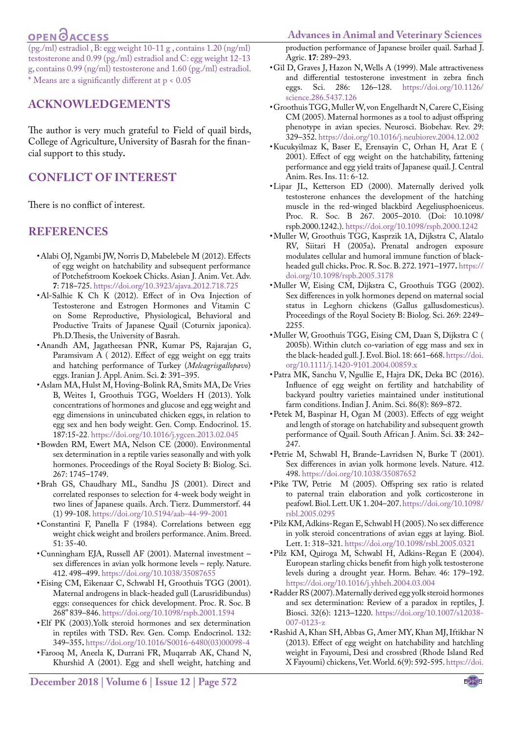# **OPEN CACCESS**

**Advances in Animal and Veterinary Sciences**

(pg./ml) estradiol , B: egg weight 10-11 g , contains 1.20 (ng/ml) testosterone and 0.99 (pg./ml) estradiol and C: egg weight 12-13 g, contains 0.99 (ng/ml) testosterone and 1.60 (pg./ml) estradiol. \* Means are a significantly different at p < 0.05

### **Acknowledgements**

The author is very much grateful to Field of quail birds, College of Agriculture, University of Basrah for the financial support to this study**.**

## **conflict of interest**

There is no conflict of interest.

#### **REFERENCES**

- <span id="page-3-21"></span>• Alabi OJ, Ngambi JW, Norris D, Mabelebele M (2012). Effects of egg weight on hatchability and subsequent performance of Potchefstroom Koekoek Chicks. Asian J. Anim. Vet. Adv. **7**: 718–725. [https://doi.org/10.3923/ajava.2012.718.725](https://doi.org/10.3923/ajava.2012.718.725 )
- <span id="page-3-4"></span>• Al-Salhie K Ch K (2012). Effect of in Ova Injection of Testosterone and Estrogen Hormones and Vitamin C on Some Reproductive, Physiological, Behavioral and Productive Traits of Japanese Quail (Coturnix japonica). Ph.D.Thesis, the University of Basrah.
- <span id="page-3-20"></span>• Anandh AM, Jagatheesan PNR, Kumar PS, Rajarajan G, Paramsivam A ( 2012). Effect of egg weight on egg traits and hatching performance of Turkey (*Meleagrisgallopavo*) eggs. Iranian J. Appl. Anim. Sci. **2**: 391–395.
- <span id="page-3-0"></span>• [Aslam MA,](https://www.ncbi.nlm.nih.gov/pubmed/?term=Aslam MA%5BAuthor%5D&cauthor=true&cauthor_uid=23510857) [Hulst M](https://www.ncbi.nlm.nih.gov/pubmed/?term=Hulst M%5BAuthor%5D&cauthor=true&cauthor_uid=23510857), [Hoving-Bolink RA](https://www.ncbi.nlm.nih.gov/pubmed/?term=Hoving-Bolink RA%5BAuthor%5D&cauthor=true&cauthor_uid=23510857), [Smits MA,](https://www.ncbi.nlm.nih.gov/pubmed/?term=Smits MA%5BAuthor%5D&cauthor=true&cauthor_uid=23510857) [De Vries](https://www.ncbi.nlm.nih.gov/pubmed/?term=de Vries B%5BAuthor%5D&cauthor=true&cauthor_uid=23510857) [B,](https://www.ncbi.nlm.nih.gov/pubmed/?term=de Vries B%5BAuthor%5D&cauthor=true&cauthor_uid=23510857) [Weites I,](https://www.ncbi.nlm.nih.gov/pubmed/?term=Weites I%5BAuthor%5D&cauthor=true&cauthor_uid=23510857) [Groothuis TGG](https://www.ncbi.nlm.nih.gov/pubmed/?term=Groothuis TG%5BAuthor%5D&cauthor=true&cauthor_uid=23510857), [Woelders H](https://www.ncbi.nlm.nih.gov/pubmed/?term=Woelders H%5BAuthor%5D&cauthor=true&cauthor_uid=23510857) (2013). Yolk concentrations of hormones and glucose and egg weight and egg dimensions in unincubated chicken eggs, in relation to egg sex and hen body weight. [Gen. Comp. Endocrinol.](https://www.ncbi.nlm.nih.gov/pubmed/23510857) 15. 187:15-2[2. https://doi.org/10.1016/j.ygcen.2013.02.045](. https://doi.org/10.1016/j.ygcen.2013.02.045 )
- <span id="page-3-12"></span>• Bowden RM, Ewert MA, Nelson CE (2000). Environmental sex determination in a reptile varies seasonally and with yolk hormones. Proceedings of the Royal Society B: Biolog. Sci. 267: 1745–1749.
- <span id="page-3-13"></span>• Brah GS, Chaudhary ML, Sandhu JS (2001). Direct and correlated responses to selection for 4-week body weight in two lines of Japanese quails. Arch. Tierz. Dummerstorf. 44 (1) 99-108. [https://doi.org/10.5194/aab-44-99-2001](https://doi.org/10.5194/aab-44-99-2001 )
- <span id="page-3-22"></span>• Constantini F, Panella F (1984). Correlations between egg weight chick weight and broilers performance. Anim. Breed. 51: 35-40.
- <span id="page-3-9"></span>• Cunningham EJA, Russell AF (2001). Maternal investment – sex differences in avian yolk hormone levels – reply. Nature. 412. 498–499. [https://doi.org/10.1038/35087655](https://doi.org/10.1038/35087655 )
- <span id="page-3-6"></span>• Eising CM, Eikenaar C, Schwabl H, Groothuis TGG (2001). Maternal androgens in black-headed gull (Larusridibundus) eggs: consequences for chick development. Proc. R. Soc. B 268" 839–846[. https://doi.org/10.1098/rspb.2001.1594]( https://doi.org/10.1098/rspb.2001.1594 )
- <span id="page-3-2"></span>• Elf PK (2003).Yolk steroid hormones and sex determination in reptiles with TSD**.** Rev. Gen. Comp. Endocrinol. 132: 349–355**.** [https://doi.org/10.1016/S0016-6480\(03\)00098-4](https://doi.org/10.1016/S0016-6480(03)00098-4 )
- <span id="page-3-16"></span>• Farooq M, Aneela K, Durrani FR, Muqarrab AK, Chand N, Khurshid A (2001). Egg and shell weight, hatching and

production performance of Japanese broiler quail. Sarhad J. Agric. **17**: 289–293.

- <span id="page-3-19"></span>• Gil D, Graves J, Hazon N, Wells A (1999). Male attractiveness and differential testosterone investment in zebra finch eggs. Sci. 286: 126–128. [https://doi.org/10.1126/](https://doi.org/10.1126/science.286.5437.126 ) [science.286.5437.126](https://doi.org/10.1126/science.286.5437.126 )
- <span id="page-3-8"></span>• Groothuis TGG, Muller W, von Engelhardt N, Carere C, Eising CM (2005). Maternal hormones as a tool to adjust offspring phenotype in avian species. Neurosci. Biobehav. Rev. 29: 329–352. [https://doi.org/10.1016/j.neubiorev.2004.12.002](https://doi.org/10.1016/j.neubiorev.2004.12.002 )
- <span id="page-3-14"></span>• Kucukyilmaz K, Baser E, Erensayin C, Orhan H, Arat E ( 2001). Effect of egg weight on the hatchability, fattening performance and egg yield traits of Japanese quail. J. Central Anim. Res. Ins. 11: 6-12.
- <span id="page-3-5"></span>• Lipar JL, Ketterson ED (2000). Maternally derived yolk testosterone enhances the development of the hatching muscle in the red-winged blackbird Aegeliusphoeniceus. Proc. R. Soc. B 267. 2005–2010. (Doi: 10.1098/ rspb.2000.1242.). [https://doi.org/10.1098/rspb.2000.1242](https://doi.org/10.1098/rspb.2000.1242 )
- <span id="page-3-3"></span>• Muller W, Groothuis TGG, Kasprzik 1A, Dijkstra C, Alatalo RV, Siitari H (2005a)**.** Prenatal androgen exposure modulates cellular and humoral immune function of blackheaded gull chicks**.** Proc. R. Soc. B. 272. 1971–1977**.** [https://](https://doi.org/10.1098/rspb.2005.3178 ) [doi.org/10.1098/rspb.2005.3178](https://doi.org/10.1098/rspb.2005.3178 )
- <span id="page-3-24"></span>• Muller W, Eising CM, Dijkstra C, Groothuis TGG (2002). Sex differences in yolk hormones depend on maternal social status in Leghorn chickens (Gallus gallusdomesticus). Proceedings of the Royal Society B: Biolog. Sci. 269: 2249– 2255.
- <span id="page-3-10"></span>• Muller W, Groothuis TGG, Eising CM, Daan S, Dijkstra C ( 2005b). Within clutch co-variation of egg mass and sex in the black-headed gull. J. Evol. Biol. 18: 661–668[. https://doi.]( https://doi.org/10.1111/j.1420-9101.2004.00859.x ) [org/10.1111/j.1420-9101.2004.00859.x]( https://doi.org/10.1111/j.1420-9101.2004.00859.x )
- <span id="page-3-18"></span>• Patra MK, Sanchu V, Ngullie E, Hajra DK, Deka BC (2016). Influence of egg weight on fertility and hatchability of backyard poultry varieties maintained under institutional farm conditions. Indian J. Anim. Sci. 86(8): 869–872.
- <span id="page-3-17"></span>• Petek M, Baspinar H, Ogan M (2003). Effects of egg weight and length of storage on hatchability and subsequent growth performance of Quail. South African J. Anim. Sci. **33**: 242– 247.
- <span id="page-3-23"></span>• Petrie M, Schwabl H, Brande-Lavridsen N, Burke T (2001). Sex differences in avian yolk hormone levels. Nature. 412. 498[. https://doi.org/10.1038/35087652]( https://doi.org/10.1038/35087652 )
- <span id="page-3-11"></span>• Pike TW, Petrie M (2005). Offspring sex ratio is related to paternal train elaboration and yolk corticosterone in peafowl. Biol. Lett. UK 1. 204–207. [https://doi.org/10.1098/](https://doi.org/10.1098/rsbl.2005.0295 ) [rsbl.2005.0295](https://doi.org/10.1098/rsbl.2005.0295 )
- • Pilz KM, Adkins-Regan E, Schwabl H (2005). No sex difference in yolk steroid concentrations of avian eggs at laying. Biol. Lett. 1: 318–321. [https://doi.org/10.1098/rsbl.2005.0321](https://doi.org/10.1098/rsbl.2005.0321 )
- <span id="page-3-7"></span>• Pilz KM, Quiroga M, Schwabl H, Adkins-Regan E (2004). European starling chicks benefit from high yolk testosterone levels during a drought year. Horm. Behav. 46: 179–192. [https://doi.org/10.1016/j.yhbeh.2004.03.004](https://doi.org/10.1016/j.yhbeh.2004.03.004 )
- <span id="page-3-1"></span>• Radder RS (2007). Maternally derived egg yolk steroid hormones and sex determination: Review of a paradox in reptiles, J. Biosci. 32(6): 1213–1220. [https://doi.org/10.1007/s12038-](https://doi.org/10.1007/s12038-007-0123-z ) [007-0123-z](https://doi.org/10.1007/s12038-007-0123-z )
- <span id="page-3-15"></span>• Rashid A, Khan SH, Abbas G, Amer MY, Khan MJ, Iftikhar N (2013). Effect of egg weight on hatchability and hatchling weight in Fayoumi, Desi and crossbred (Rhode Island Red X Fayoumi) chickens, Vet. World. 6(9): 592-595. [https://doi.](https://doi.org/10.5455/vetworld.2013.592-595 )